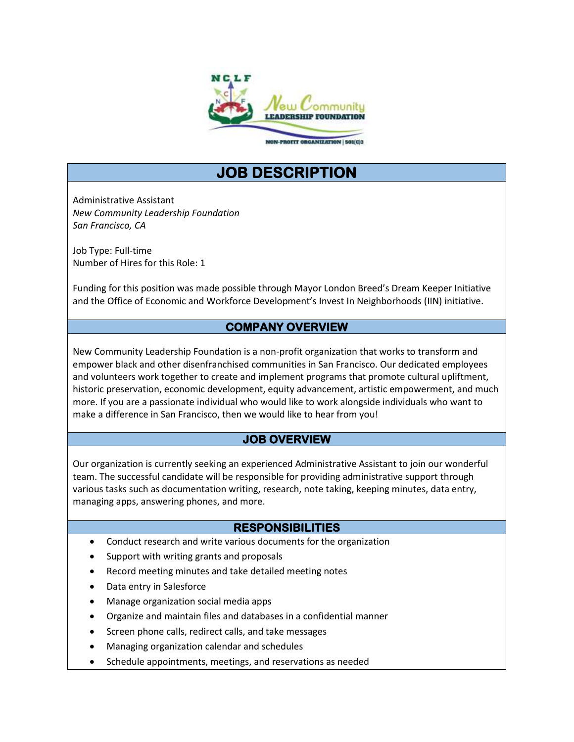

NON-PROFIT ORGANIZATION | 501(C)3

# **JOB DESCRIPTION**

Administrative Assistant *New Community Leadership Foundation San Francisco, CA*

Job Type: Full-time Number of Hires for this Role: 1

Funding for this position was made possible through Mayor London Breed's Dream Keeper Initiative and the Office of Economic and Workforce Development's Invest In Neighborhoods (IIN) initiative.

## **COMPANY OVERVIEW**

New Community Leadership Foundation is a non-profit organization that works to transform and empower black and other disenfranchised communities in San Francisco. Our dedicated employees and volunteers work together to create and implement programs that promote cultural upliftment, historic preservation, economic development, equity advancement, artistic empowerment, and much more. If you are a passionate individual who would like to work alongside individuals who want to make a difference in San Francisco, then we would like to hear from you!

# **JOB OVERVIEW**

Our organization is currently seeking an experienced Administrative Assistant to join our wonderful team. The successful candidate will be responsible for providing administrative support through various tasks such as documentation writing, research, note taking, keeping minutes, data entry, managing apps, answering phones, and more.

# **RESPONSIBILITIES**

- Conduct research and write various documents for the organization
- Support with writing grants and proposals
- Record meeting minutes and take detailed meeting notes
- Data entry in Salesforce
- Manage organization social media apps
- Organize and maintain files and databases in a confidential manner
- Screen phone calls, redirect calls, and take messages
- Managing organization calendar and schedules
- Schedule appointments, meetings, and reservations as needed